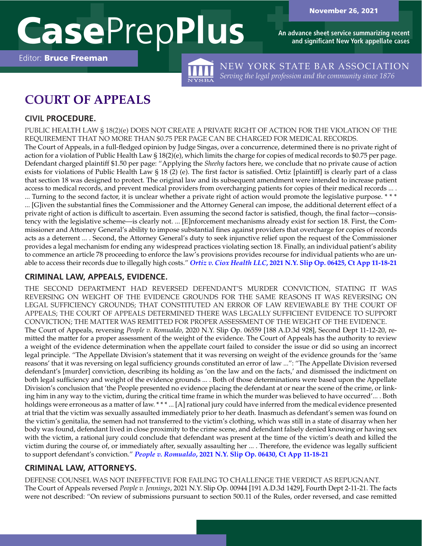**An advance sheet service summarizing recent and significant New York appellate cases**

Editor: Bruce Freeman

NEW YORK STATE BAR ASSOCIATION *Serving the legal profession and the community since 1876*

# **COURT OF APPEALS**

# **CIVIL PROCEDURE.**

PUBLIC HEALTH LAW § 18(2)(e) DOES NOT CREATE A PRIVATE RIGHT OF ACTION FOR THE VIOLATION OF THE REQUIREMENT THAT NO MORE THAN \$0.75 PER PAGE CAN BE CHARGED FOR MEDICAL RECORDS. The Court of Appeals, in a full-fledged opinion by Judge Singas, over a concurrence, determined there is no private right of action for a violation of Public Health Law § 18(2)(e), which limits the charge for copies of medical records to \$0.75 per page. Defendant charged plaintiff \$1.50 per page: "Applying the *Sheehy* factors here, we conclude that no private cause of action exists for violations of Public Health Law § 18 (2) (e). The first factor is satisfied. Ortiz [plaintiff] is clearly part of a class that section 18 was designed to protect. The original law and its subsequent amendment were intended to increase patient access to medical records, and prevent medical providers from overcharging patients for copies of their medical records ... . ... Turning to the second factor, it is unclear whether a private right of action would promote the legislative purpose. \* \* \* ... [G]iven the substantial fines the Commissioner and the Attorney General can impose, the additional deterrent effect of a private right of action is difficult to ascertain. Even assuming the second factor is satisfied, though, the final factor—consistency with the legislative scheme—is clearly not. ... [E]nforcement mechanisms already exist for section 18. First, the Commissioner and Attorney General's ability to impose substantial fines against providers that overcharge for copies of records acts as a deterrent ... . Second, the Attorney General's duty to seek injunctive relief upon the request of the Commissioner provides a legal mechanism for ending any widespread practices violating section 18. Finally, an individual patient's ability to commence an article 78 proceeding to enforce the law's provisions provides recourse for individual patients who are unable to access their records due to illegally high costs." *Ortiz v. Ciox Health LLC***[, 2021 N.Y. Slip Op. 06425, Ct App 11-18-21](https://www.nycourts.gov/reporter/3dseries/2021/2021_06425.htm)**

# **CRIMINAL LAW, APPEALS, EVIDENCE.**

THE SECOND DEPARTMENT HAD REVERSED DEFENDANT'S MURDER CONVICTION, STATING IT WAS REVERSING ON WEIGHT OF THE EVIDENCE GROUNDS FOR THE SAME REASONS IT WAS REVERSING ON LEGAL SUFFICIENCY GROUNDS; THAT CONSTITUTED AN ERROR OF LAW REVIEWABLE BY THE COURT OF APPEALS; THE COURT OF APPEALS DETERMINED THERE WAS LEGALLY SUFFICIENT EVIDENCE TO SUPPORT CONVICTION; THE MATTER WAS REMITTED FOR PROPER ASSESSMENT OF THE WEIGHT OF THE EVIDENCE. The Court of Appeals, reversing *People v. Romualdo*, 2020 N.Y. Slip Op. 06559 [188 A.D.3d 928], Second Dept 11-12-20, remitted the matter for a proper assessment of the weight of the evidence. The Court of Appeals has the authority to review a weight of the evidence determination when the appellate court failed to consider the issue or did so using an incorrect legal principle. "The Appellate Division's statement that it was reversing on weight of the evidence grounds for the 'same reasons' that it was reversing on legal sufficiency grounds constituted an error of law ...": "The Appellate Division reversed defendant's [murder] conviction, describing its holding as 'on the law and on the facts,' and dismissed the indictment on both legal sufficiency and weight of the evidence grounds ... . Both of those determinations were based upon the Appellate Division's conclusion that 'the People presented no evidence placing the defendant at or near the scene of the crime, or linking him in any way to the victim, during the critical time frame in which the murder was believed to have occurred'... . Both holdings were erroneous as a matter of law. \*\*\*... [A] rational jury could have inferred from the medical evidence presented at trial that the victim was sexually assaulted immediately prior to her death. Inasmuch as defendant's semen was found on the victim's genitalia, the semen had not transferred to the victim's clothing, which was still in a state of disarray when her body was found, defendant lived in close proximity to the crime scene, and defendant falsely denied knowing or having sex with the victim, a rational jury could conclude that defendant was present at the time of the victim's death and killed the victim during the course of, or immediately after, sexually assaulting her ... . Therefore, the evidence was legally sufficient to support defendant's conviction." *People v. Romualdo***[, 2021 N.Y. Slip Op. 06430, Ct App 11-18-21](https://www.nycourts.gov/reporter/3dseries/2021/2021_06430.htm)**

# **CRIMINAL LAW, ATTORNEYS.**

DEFENSE COUNSEL WAS NOT INEFFECTIVE FOR FAILING TO CHALLENGE THE VERDICT AS REPUGNANT. The Court of Appeals reversed *People v. Jennings*, 2021 N.Y. Slip Op. 00944 [191 A.D.3d 1429], Fourth Dept 2-11-21. The facts were not described: "On review of submissions pursuant to section 500.11 of the Rules, order reversed, and case remitted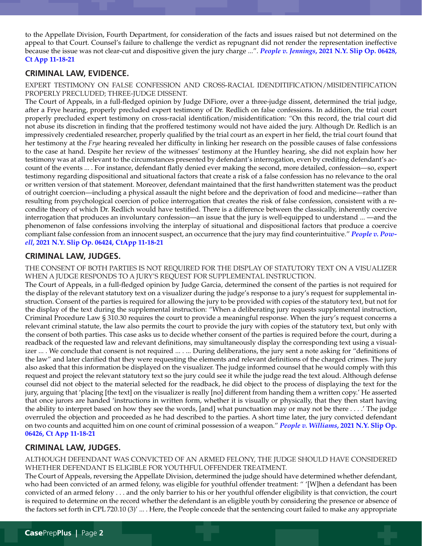to the Appellate Division, Fourth Department, for consideration of the facts and issues raised but not determined on the appeal to that Court. Counsel's failure to challenge the verdict as repugnant did not render the representation ineffective because the issue was not clear-cut and dispositive given the jury charge ...". *People v. Jennings***[, 2021 N.Y. Slip Op. 06428,](https://www.nycourts.gov/reporter/3dseries/2021/2021_06428.htm)  [Ct App 11-18-21](https://www.nycourts.gov/reporter/3dseries/2021/2021_06428.htm)**

## **CRIMINAL LAW, EVIDENCE.**

EXPERT TESTIMONY ON FALSE CONFESSION AND CROSS-RACIAL IDENDITIFICATION/MISIDENTIFICATION PROPERLY PRECLUDED; THREE-JUDGE DISSENT.

The Court of Appeals, in a full-fledged opinion by Judge DiFiore, over a three-judge dissent, determined the trial judge, after a Frye hearing, properly precluded expert testimony of Dr. Redlich on false confessions. In addition, the trial court properly precluded expert testimony on cross-racial identification/misidentification: "On this record, the trial court did not abuse its discretion in finding that the proffered testimony would not have aided the jury. Although Dr. Redlich is an impressively credentialed researcher, properly qualified by the trial court as an expert in her field, the trial court found that her testimony at the *Frye* hearing revealed her difficulty in linking her research on the possible causes of false confessions to the case at hand. Despite her review of the witnesses' testimony at the Huntley hearing, she did not explain how her testimony was at all relevant to the circumstances presented by defendant's interrogation, even by crediting defendant's account of the events ... . For instance, defendant flatly denied ever making the second, more detailed, confession—so, expert testimony regarding dispositional and situational factors that create a risk of a false confession has no relevance to the oral or written version of that statement. Moreover, defendant maintained that the first handwritten statement was the product of outright coercion—including a physical assault the night before and the deprivation of food and medicine—rather than resulting from psychological coercion of police interrogation that creates the risk of false confession, consistent with a recondite theory of which Dr. Redlich would have testified. There is a difference between the classically, inherently coercive interrogation that produces an involuntary confession—an issue that the jury is well-equipped to understand ... —and the phenomenon of false confessions involving the interplay of situational and dispositional factors that produce a coercive compliant false confession from an innocent suspect, an occurrence that the jury may find counterintuitive." *[People v. Pow](https://www.nycourts.gov/reporter/3dseries/2021/2021_06424.htm)ell***[, 2021 N.Y. Slip Op. 06424, CtApp 11-18-21](https://www.nycourts.gov/reporter/3dseries/2021/2021_06424.htm)**

## **CRIMINAL LAW, JUDGES.**

THE CONSENT OF BOTH PARTIES IS NOT REQUIRED FOR THE DISPLAY OF STATUTORY TEXT ON A VISUALIZER WHEN A JUDGE RESPONDS TO A JURY'S REQUEST FOR SUPPLEMENTAL INSTRUCTION.

The Court of Appeals, in a full-fledged opinion by Judge Garcia, determined the consent of the parties is not required for the display of the relevant statutory text on a visualizer during the judge's response to a jury's request for supplemental instruction. Consent of the parties is required for allowing the jury to be provided with copies of the statutory text, but not for the display of the text during the supplemental instruction: "When a deliberating jury requests supplemental instruction, Criminal Procedure Law § 310.30 requires the court to provide a meaningful response. When the jury's request concerns a relevant criminal statute, the law also permits the court to provide the jury with copies of the statutory text, but only with the consent of both parties. This case asks us to decide whether consent of the parties is required before the court, during a readback of the requested law and relevant definitions, may simultaneously display the corresponding text using a visualizer ... . We conclude that consent is not required ... . ... During deliberations, the jury sent a note asking for "definitions of the law" and later clarified that they were requesting the elements and relevant definitions of the charged crimes. The jury also asked that this information be displayed on the visualizer. The judge informed counsel that he would comply with this request and project the relevant statutory text so the jury could see it while the judge read the text aloud. Although defense counsel did not object to the material selected for the readback, he did object to the process of displaying the text for the jury, arguing that 'placing [the text] on the visualizer is really [no] different from handing them a written copy.' He asserted that once jurors are handed 'instructions in written form, whether it is visually or physically, that they then start having the ability to interpret based on how they see the words, [and] what punctuation may or may not be there . . . .' The judge overruled the objection and proceeded as he had described to the parties. A short time later, the jury convicted defendant on two counts and acquitted him on one count of criminal possession of a weapon." *People v. Williams***[, 2021 N.Y. Slip Op.](https://www.nycourts.gov/reporter/3dseries/2021/2021_06426.htm)  [06426, Ct App 11-18-21](https://www.nycourts.gov/reporter/3dseries/2021/2021_06426.htm)**

## **CRIMINAL LAW, JUDGES.**

ALTHOUGH DEFENDANT WAS CONVICTED OF AN ARMED FELONY, THE JUDGE SHOULD HAVE CONSIDERED WHETHER DEFENDANT IS ELIGIBLE FOR YOUTHFUL OFFENDER TREATMENT.

The Court of Appeals, reversing the Appellate Division, determined the judge should have determined whether defendant, who had been convicted of an armed felony, was eligible for youthful offender treatment: " '[W]hen a defendant has been convicted of an armed felony . . . and the only barrier to his or her youthful offender eligibility is that conviction, the court is required to determine on the record whether the defendant is an eligible youth by considering the presence or absence of the factors set forth in CPL 720.10 (3)' ... . Here, the People concede that the sentencing court failed to make any appropriate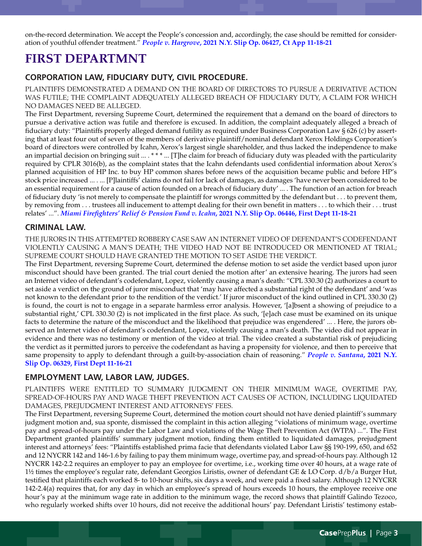on-the-record determination. We accept the People's concession and, accordingly, the case should be remitted for consideration of youthful offender treatment." *People v. Hargrove***[, 2021 N.Y. Slip Op. 06427, Ct App 11-18-21](https://www.nycourts.gov/reporter/3dseries/2021/2021_06427.htm)**

# **FIRST DEPARTMNT**

## **CORPORATION LAW, FIDUCIARY DUTY, CIVIL PROCEDURE.**

PLAINTIFFS DEMONSTRATED A DEMAND ON THE BOARD OF DIRECTORS TO PURSUE A DERIVATIVE ACTION WAS FUTILE; THE COMPLAINT ADEQUATELY ALLEGED BREACH OF FIDUCIARY DUTY, A CLAIM FOR WHICH NO DAMAGES NEED BE ALLEGED.

The First Department, reversing Supreme Court, determined the requirement that a demand on the board of directors to pursue a derivative action was futile and therefore is excused. In addition, the complaint adequately alleged a breach of fiduciary duty: "Plaintiffs properly alleged demand futility as required under Business Corporation Law § 626 (c) by asserting that at least four out of seven of the members of derivative plaintiff/nominal defendant Xerox Holdings Corporation's board of directors were controlled by Icahn, Xerox's largest single shareholder, and thus lacked the independence to make an impartial decision on bringing suit ... . \*\*\* ... [T]he claim for breach of fiduciary duty was pleaded with the particularity required by CPLR 3016(b), as the complaint states that the Icahn defendants used confidential information about Xerox's planned acquisition of HP Inc. to buy HP common shares before news of the acquisition became public and before HP's stock price increased ... . ... [P]laintiffs' claims do not fail for lack of damages, as damages 'have never been considered to be an essential requirement for a cause of action founded on a breach of fiduciary duty' ... . The function of an action for breach of fiduciary duty 'is not merely to compensate the plaintiff for wrongs committed by the defendant but . . . to prevent them, by removing from . . . trustees all inducement to attempt dealing for their own benefit in matters . . . to which their . . . trust relates' ...". *[Miami Firefighters' Relief & Pension Fund v. Icahn](https://nycourts.gov/reporter/3dseries/2021/2021_06446.htm)***, 2021 N.Y. Slip Op. 06446, First Dept 11-18-21**

## **CRIMINAL LAW.**

THE JURORS IN THIS ATTEMPTED ROBBERY CASE SAW AN INTERNET VIDEO OF DEFENDANT'S CODEFENDANT VIOLENTLY CAUSING A MAN'S DEATH; THE VIDEO HAD NOT BE INTRODUCED OR MENTIONED AT TRIAL; SUPREME COURT SHOULD HAVE GRANTED THE MOTION TO SET ASIDE THE VERDICT.

The First Department, reversing Supreme Court, determined the defense motion to set aside the verdict based upon juror misconduct should have been granted. The trial court denied the motion after' an extensive hearing. The jurors had seen an Internet video of defendant's codefendant, Lopez, violently causing a man's death: "CPL 330.30 (2) authorizes a court to set aside a verdict on the ground of juror misconduct that 'may have affected a substantial right of the defendant' and 'was not known to the defendant prior to the rendition of the verdict.' If juror misconduct of the kind outlined in CPL 330.30 (2) is found, the court is not to engage in a separate harmless error analysis. However, '[a]bsent a showing of prejudice to a substantial right,' CPL 330.30 (2) is not implicated in the first place. As such, '[e]ach case must be examined on its unique facts to determine the nature of the misconduct and the likelihood that prejudice was engendered' ... . Here, the jurors observed an Internet video of defendant's codefendant, Lopez, violently causing a man's death. The video did not appear in evidence and there was no testimony or mention of the video at trial. The video created a substantial risk of prejudicing the verdict as it permitted jurors to perceive the codefendant as having a propensity for violence, and then to perceive that same propensity to apply to defendant through a guilt-by-association chain of reasoning." *[People v. Santana](https://nycourts.gov/reporter/3dseries/2021/2021_06329.htm)***, 2021 N.Y. [Slip Op. 06329, First Dept 11-16-21](https://nycourts.gov/reporter/3dseries/2021/2021_06329.htm)**

## **EMPLOYMENT LAW, LABOR LAW, JUDGES.**

PLAINTIFFS WERE ENTITLED TO SUMMARY JUDGMENT ON THEIR MINIMUM WAGE, OVERTIME PAY, SPREAD-OF-HOURS PAY AND WAGE THEFT PREVENTION ACT CAUSES OF ACTION, INCLUDING LIQUIDATED DAMAGES, PREJUDGMENT INTEREST AND ATTORNEYS' FEES.

The First Department, reversing Supreme Court, determined the motion court should not have denied plaintiff's summary judgment motion and, sua sponte, dismissed the complaint in this action alleging "violations of minimum wage, overtime pay and spread-of-hours pay under the Labor Law and violations of the Wage Theft Prevention Act (WTPA) ...". The First Department granted plaintiffs' summary judgment motion, finding them entitled to liquidated damages, prejudgment interest and attorneys' fees: "Plaintiffs established prima facie that defendants violated Labor Law §§ 190-199, 650, and 652 and 12 NYCRR 142 and 146-1.6 by failing to pay them minimum wage, overtime pay, and spread-of-hours pay. Although 12 NYCRR 142-2.2 requires an employer to pay an employee for overtime, i.e., working time over 40 hours, at a wage rate of 1½ times the employee's regular rate, defendant Georgios Liristis, owner of defendant GE & LO Corp. d/b/a Burger Hut, testified that plaintiffs each worked 8- to 10-hour shifts, six days a week, and were paid a fixed salary. Although 12 NYCRR 142-2.4(a) requires that, for any day in which an employee's spread of hours exceeds 10 hours, the employee receive one hour's pay at the minimum wage rate in addition to the minimum wage, the record shows that plaintiff Galindo Tezoco, who regularly worked shifts over 10 hours, did not receive the additional hours' pay. Defendant Liristis' testimony estab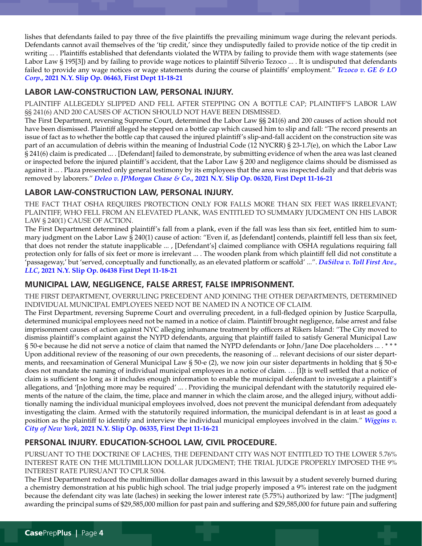lishes that defendants failed to pay three of the five plaintiffs the prevailing minimum wage during the relevant periods. Defendants cannot avail themselves of the 'tip credit,' since they undisputedly failed to provide notice of the tip credit in writing ... . Plaintiffs established that defendants violated the WTPA by failing to provide them with wage statements (see Labor Law § 195[3]) and by failing to provide wage notices to plaintiff Silverio Tezoco ... . It is undisputed that defendants failed to provide any wage notices or wage statements during the course of plaintiffs' employment." *[Tezoco v. GE & LO](https://nycourts.gov/reporter/3dseries/2021/2021_06463.htm) Corp***[., 2021 N.Y. Slip Op. 06463, First Dept 11-18-21](https://nycourts.gov/reporter/3dseries/2021/2021_06463.htm)**

# **LABOR LAW-CONSTRUCTION LAW, PERSONAL INJURY.**

PLAINTIFF ALLEGEDLY SLIPPED AND FELL AFTER STEPPING ON A BOTTLE CAP; PLAINTIFF'S LABOR LAW §§ 241(6) AND 200 CAUSES OF ACTION SHOULD NOT HAVE BEEN DISMISSED.

The First Department, reversing Supreme Court, determined the Labor Law §§ 241(6) and 200 causes of action should not have been dismissed. Plaintiff alleged he stepped on a bottle cap which caused him to slip and fall: "The record presents an issue of fact as to whether the bottle cap that caused the injured plaintiff's slip-and-fall accident on the construction site was part of an accumulation of debris within the meaning of Industrial Code (12 NYCRR) § 23-1.7(e), on which the Labor Law § 241(6) claim is predicated ... . [Defendant] failed to demonstrate, by submitting evidence of when the area was last cleaned or inspected before the injured plaintiff's accident, that the Labor Law § 200 and negligence claims should be dismissed as against it ... . Plaza presented only general testimony by its employees that the area was inspected daily and that debris was removed by laborers." *Deleo v. JPMorgan Chase & Co***[., 2021 N.Y. Slip Op. 06320, First Dept 11-16-21](https://nycourts.gov/reporter/3dseries/2021/2021_06320.htm)**

# **LABOR LAW-CONSTRUCTION LAW, PERSONAL INJURY.**

THE FACT THAT OSHA REQUIRES PROTECTION ONLY FOR FALLS MORE THAN SIX FEET WAS IRRELEVANT; PLAINTIFF, WHO FELL FROM AN ELEVATED PLANK, WAS ENTITLED TO SUMMARY JUDGMENT ON HIS LABOR LAW § 240(1) CAUSE OF ACTION.

The First Department determined plaintiff's fall from a plank, even if the fall was less than six feet, entitled him to summary judgment on the Labor Law § 240(1) cause of action: "Even if, as [defendant] contends, plaintiff fell less than six feet, that does not render the statute inapplicable ... , [Defendant's] claimed compliance with OSHA regulations requiring fall protection only for falls of six feet or more is irrelevant ... . The wooden plank from which plaintiff fell did not constitute a 'passageway,' but 'served, conceptually and functionally, as an elevated platform or scaffold' ...". *[DaSilva v. Toll First Ave.,](https://nycourts.gov/reporter/3dseries/2021/2021_06438.htm)  LLC***[, 2021 N.Y. Slip Op. 06438 First Dept 11-18-21](https://nycourts.gov/reporter/3dseries/2021/2021_06438.htm)**

# **MUNICIPAL LAW, NEGLIGENCE, FALSE ARREST, FALSE IMPRISONMENT.**

THE FIRST DEPARTMENT, OVERRULING PRECEDENT AND JOINING THE OTHER DEPARTMENTS, DETERMINED INDIVIDUAL MUNICIPAL EMPLOYEES NEED NOT BE NAMED IN A NOTICE OF CLAIM.

The First Department, reversing Supreme Court and overruling precedent, in a full-fledged opinion by Justice Scarpulla, determined municipal employees need not be named in a notice of claim. Plaintiff brought negligence, false arrest and false imprisonment causes of action against NYC alleging inhumane treatment by officers at Rikers Island: "The City moved to dismiss plaintiff's complaint against the NYPD defendants, arguing that plaintiff failed to satisfy General Municipal Law § 50-e because he did not serve a notice of claim that named the NYPD defendants or John/Jane Doe placeholders ... . \*\*\* Upon additional review of the reasoning of our own precedents, the reasoning of ... relevant decisions of our sister departments, and reexamination of General Municipal Law § 50-e (2), we now join our sister departments in holding that § 50-e does not mandate the naming of individual municipal employees in a notice of claim. … [I]t is well settled that a notice of claim is sufficient so long as it includes enough information to enable the municipal defendant to investigate a plaintiff's allegations, and '[n]othing more may be required' ... . Providing the municipal defendant with the statutorily required elements of the nature of the claim, the time, place and manner in which the claim arose, and the alleged injury, without additionally naming the individual municipal employees involved, does not prevent the municipal defendant from adequately investigating the claim. Armed with the statutorily required information, the municipal defendant is in at least as good a position as the plaintiff to identify and interview the individual municipal employees involved in the claim." *[Wiggins v.](https://nycourts.gov/reporter/3dseries/2021/2021_06335.htm)  City of New York***[, 2021 N.Y. Slip Op. 06335, First Dept 11-16-21](https://nycourts.gov/reporter/3dseries/2021/2021_06335.htm)**

# **PERSONAL INJURY. EDUCATION-SCHOOL LAW, CIVIL PROCEDURE.**

PURSUANT TO THE DOCTRINE OF LACHES, THE DEFENDANT CITY WAS NOT ENTITLED TO THE LOWER 5.76% INTEREST RATE ON THE MULTIMILLION DOLLAR JUDGMENT; THE TRIAL JUDGE PROPERLY IMPOSED THE 9% INTEREST RATE PURSUANT TO CPLR 5004.

The First Department reduced the multimillion dollar damages award in this lawsuit by a student severely burned during a chemistry demonstration at his public high school. The trial judge properly imposed a 9% interest rate on the judgment because the defendant city was late (laches) in seeking the lower interest rate (5.75%) authorized by law: "[The judgment] awarding the principal sums of \$29,585,000 million for past pain and suffering and \$29,585,000 for future pain and suffering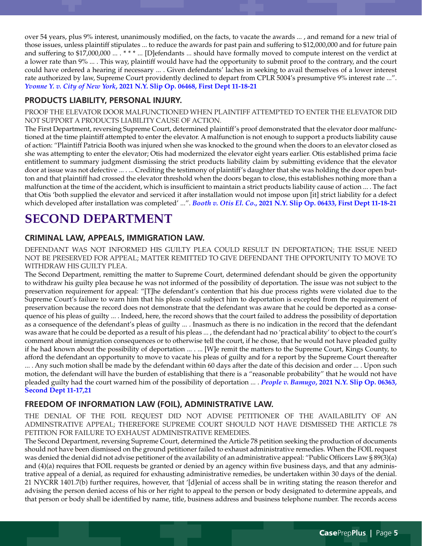over 54 years, plus 9% interest, unanimously modified, on the facts, to vacate the awards ... , and remand for a new trial of those issues, unless plaintiff stipulates ... to reduce the awards for past pain and suffering to \$12,000,000 and for future pain and suffering to \$17,000,000 ... . \*\*\* ... [D]efendants ... should have formally moved to compute interest on the verdict at a lower rate than 9% ... . This way, plaintiff would have had the opportunity to submit proof to the contrary, and the court could have ordered a hearing if necessary ... . Given defendants' laches in seeking to avail themselves of a lower interest rate authorized by law, Supreme Court providently declined to depart from CPLR 5004's presumptive 9% interest rate ...". *Yvonne Y. v. City of New York***[, 2021 N.Y. Slip Op. 06468, First Dept 11-18-21](https://nycourts.gov/reporter/3dseries/2021/2021_06468.htm)**

## **PRODUCTS LIABILITY, PERSONAL INJURY.**

PROOF THE ELEVATOR DOOR MALFUNCTIONED WHEN PLAINTIFF ATTEMPTED TO ENTER THE ELEVATOR DID NOT SUPPORT A PRODUCTS LIABILITY CAUSE OF ACTION.

The First Department, reversing Supreme Court, determined plaintiff's proof demonstrated that the elevator door malfunctioned at the time plaintiff attempted to enter the elevator. A malfunction is not enough to support a products liability cause of action: "Plaintiff Patricia Booth was injured when she was knocked to the ground when the doors to an elevator closed as she was attempting to enter the elevator; Otis had modernized the elevator eight years earlier. Otis established prima facie entitlement to summary judgment dismissing the strict products liability claim by submitting evidence that the elevator door at issue was not defective ... . ... Crediting the testimony of plaintiff's daughter that she was holding the door open button and that plaintiff had crossed the elevator threshold when the doors began to close, this establishes nothing more than a malfunction at the time of the accident, which is insufficient to maintain a strict products liability cause of action ... . The fact that Otis 'both supplied the elevator and serviced it after installation would not impose upon [it] strict liability for a defect which developed after installation was completed' ...". *Booth v. Otis El. Co***[., 2021 N.Y. Slip Op. 06433, First Dept 11-18-21](https://nycourts.gov/reporter/3dseries/2021/2021_06433.htm)**

# **SECOND DEPARTMENT**

# **CRIMINAL LAW, APPEALS, IMMIGRATION LAW.**

DEFENDANT WAS NOT INFORMED HIS GUILTY PLEA COULD RESULT IN DEPORTATION; THE ISSUE NEED NOT BE PRESERVED FOR APPEAL; MATTER REMITTED TO GIVE DEFENDANT THE OPPORTUNITY TO MOVE TO WITHDRAW HIS GUILTY PLEA.

The Second Department, remitting the matter to Supreme Court, determined defendant should be given the opportunity to withdraw his guilty plea because he was not informed of the possibility of deportation. The issue was not subject to the preservation requirement for appeal: "[T]he defendant's contention that his due process rights were violated due to the Supreme Court's failure to warn him that his pleas could subject him to deportation is excepted from the requirement of preservation because the record does not demonstrate that the defendant was aware that he could be deported as a consequence of his pleas of guilty ... . Indeed, here, the record shows that the court failed to address the possibility of deportation as a consequence of the defendant's pleas of guilty ... . Inasmuch as there is no indication in the record that the defendant was aware that he could be deported as a result of his pleas ... , the defendant had no 'practical ability' to object to the court's comment about immigration consequences or to otherwise tell the court, if he chose, that he would not have pleaded guilty if he had known about the possibility of deportation ... . ... [W]e remit the matters to the Supreme Court, Kings County, to afford the defendant an opportunity to move to vacate his pleas of guilty and for a report by the Supreme Court thereafter ... . Any such motion shall be made by the defendant within 60 days after the date of this decision and order ... . Upon such motion, the defendant will have the burden of establishing that there is a "reasonable probability" that he would not have pleaded guilty had the court warned him of the possibility of deportation ... . *People v. Bamugo***[, 2021 N.Y. Slip Op. 06363,](https://nycourts.gov/reporter/3dseries/2021/2021_06363.htm)  [Second Dept 11-17,21](https://nycourts.gov/reporter/3dseries/2021/2021_06363.htm)**

# **FREEDOM OF INFORMATION LAW (FOIL), ADMINISTRATIVE LAW.**

THE DENIAL OF THE FOIL REQUEST DID NOT ADVISE PETITIONER OF THE AVAILABILITY OF AN ADMINSTRATIVE APPEAL; THEREFORE SUPREME COURT SHOULD NOT HAVE DISMISSED THE ARTICLE 78 PETITION FOR FAILURE TO EXHAUST ADMINISTRATIVE REMEDIES.

The Second Department, reversing Supreme Court, determined the Article 78 petition seeking the production of documents should not have been dismissed on the ground petitioner failed to exhaust administrative remedies. When the FOIL request was denied the denial did not advise petitioner of the availability of an administrative appeal: "Public Officers Law § 89(3)(a) and (4)(a) requires that FOIL requests be granted or denied by an agency within five business days, and that any administrative appeal of a denial, as required for exhausting administrative remedies, be undertaken within 30 days of the denial. 21 NYCRR 1401.7(b) further requires, however, that '[d]enial of access shall be in writing stating the reason therefor and advising the person denied access of his or her right to appeal to the person or body designated to determine appeals, and that person or body shall be identified by name, title, business address and business telephone number. The records access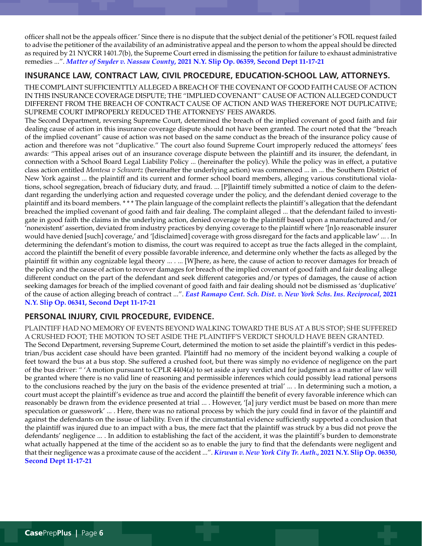officer shall not be the appeals officer.' Since there is no dispute that the subject denial of the petitioner's FOIL request failed to advise the petitioner of the availability of an administrative appeal and the person to whom the appeal should be directed as required by 21 NYCRR 1401.7(b), the Supreme Court erred in dismissing the petition for failure to exhaust administrative remedies ...". *Matter of Snyder v. Nassau County***[, 2021 N.Y. Slip Op. 06359, Second Dept 11-17-21](https://nycourts.gov/reporter/3dseries/2021/2021_06359.htm)**

# **INSURANCE LAW, CONTRACT LAW, CIVIL PROCEDURE, EDUCATION-SCHOOL LAW, ATTORNEYS.**

THE COMPLAINT SUFFICIENTTLY ALLEGED A BREACH OF THE COVENANT OF GOOD FAITH CAUSE OF ACTION IN THIS INSURANCE COVERAGE DISPUTE; THE "IMPLIED COVENANT" CAUSE OF ACTION ALLEGED CONDUCT DIFFERENT FROM THE BREACH OF CONTRACT CAUSE OF ACTION AND WAS THEREFORE NOT DUPLICATIVE; SUPREME COURT IMPROPERLY REDUCED THE ATTORNEYS' FEES AWARDS.

The Second Department, reversing Supreme Court, determined the breach of the implied covenant of good faith and fair dealing cause of action in this insurance coverage dispute should not have been granted. The court noted that the "breach of the implied covenant" cause of action was not based on the same conduct as the breach of the insurance policy cause of action and therefore was not "duplicative." The court also found Supreme Court improperly reduced the attorneys' fees awards: "This appeal arises out of an insurance coverage dispute between the plaintiff and its insurer, the defendant, in connection with a School Board Legal Liability Policy ... (hereinafter the policy). While the policy was in effect, a putative class action entitled *Montesa v Schwartz* (hereinafter the underlying action) was commenced ... in ... the Southern District of New York against ... the plaintiff and its current and former school board members, alleging various constitutional violations, school segregation, breach of fiduciary duty, and fraud. ... [P]laintiff timely submitted a notice of claim to the defendant regarding the underlying action and requested coverage under the policy, and the defendant denied coverage to the plaintiff and its board members. \* \* \* The plain language of the complaint reflects the plaintiff's allegation that the defendant breached the implied covenant of good faith and fair dealing. The complaint alleged ... that the defendant failed to investigate in good faith the claims in the underlying action, denied coverage to the plaintiff based upon a manufactured and/or 'nonexistent' assertion, deviated from industry practices by denying coverage to the plaintiff where '[n]o reasonable insurer would have denied [such] coverage,' and '[disclaimed] coverage with gross disregard for the facts and applicable law' ... . In determining the defendant's motion to dismiss, the court was required to accept as true the facts alleged in the complaint, accord the plaintiff the benefit of every possible favorable inference, and determine only whether the facts as alleged by the plaintiff fit within any cognizable legal theory ... . ... [W]here, as here, the cause of action to recover damages for breach of the policy and the cause of action to recover damages for breach of the implied covenant of good faith and fair dealing allege different conduct on the part of the defendant and seek different categories and/or types of damages, the cause of action seeking damages for breach of the implied covenant of good faith and fair dealing should not be dismissed as 'duplicative' of the cause of action alleging breach of contract ...". *[East Ramapo Cent. Sch. Dist. v. New York Schs. Ins. Reciprocal](https://nycourts.gov/reporter/3dseries/2021/2021_06341.htm)***, 2021 [N.Y. Slip Op. 06341, Second Dept 11-17-21](https://nycourts.gov/reporter/3dseries/2021/2021_06341.htm)**

# **PERSONAL INJURY, CIVIL PROCEDURE, EVIDENCE.**

PLAINTIFF HAD NO MEMORY OF EVENTS BEYOND WALKING TOWARD THE BUS AT A BUS STOP; SHE SUFFERED A CRUSHED FOOT; THE MOTION TO SET ASIDE THE PLAINTIFF'S VERDICT SHOULD HAVE BEEN GRANTED. The Second Department, reversing Supreme Court, determined the motion to set aside the plaintiff's verdict in this pedestrian/bus accident case should have been granted. Plaintiff had no memory of the incident beyond walking a couple of feet toward the bus at a bus stop. She suffered a crushed foot, but there was simply no evidence of negligence on the part of the bus driver: " 'A motion pursuant to CPLR 4404(a) to set aside a jury verdict and for judgment as a matter of law will be granted where there is no valid line of reasoning and permissible inferences which could possibly lead rational persons to the conclusions reached by the jury on the basis of the evidence presented at trial' ... . In determining such a motion, a court must accept the plaintiff's evidence as true and accord the plaintiff the benefit of every favorable inference which can reasonably be drawn from the evidence presented at trial ... . However, '[a] jury verdict must be based on more than mere speculation or guesswork' ... . Here, there was no rational process by which the jury could find in favor of the plaintiff and against the defendants on the issue of liability. Even if the circumstantial evidence sufficiently supported a conclusion that the plaintiff was injured due to an impact with a bus, the mere fact that the plaintiff was struck by a bus did not prove the defendants' negligence ... . In addition to establishing the fact of the accident, it was the plaintiff's burden to demonstrate what actually happened at the time of the accident so as to enable the jury to find that the defendants were negligent and that their negligence was a proximate cause of the accident ...". *[Kirwan v. New York City Tr. Auth](https://nycourts.gov/reporter/3dseries/2021/2021_06350.htm)***., 2021 N.Y. Slip Op. 06350, [Second Dept 11-17-21](https://nycourts.gov/reporter/3dseries/2021/2021_06350.htm)**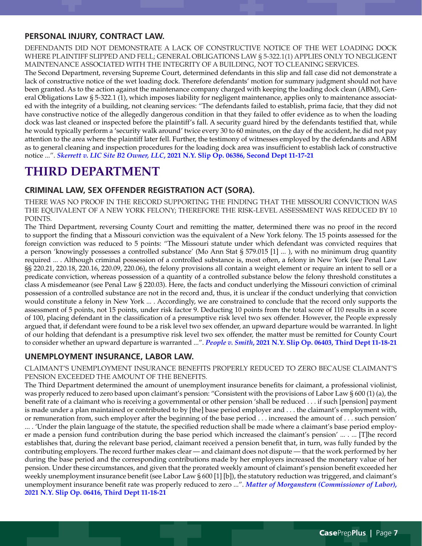### **PERSONAL INJURY, CONTRACT LAW.**

DEFENDANTS DID NOT DEMONSTRATE A LACK OF CONSTRUCTIVE NOTICE OF THE WET LOADING DOCK WHERE PLAINTIFF SLIPPED AND FELL; GENERAL OBLIGATIONS LAW § 5-322.1(1) APPLIES ONLY TO NEGLIGENT MAINTENANCE ASSOCIATED WITH THE INTEGRITY OF A BUILDING, NOT TO CLEANING SERVICES.

The Second Department, reversing Supreme Court, determined defendants in this slip and fall case did not demonstrate a lack of constructive notice of the wet loading dock. Therefore defendants' motion for summary judgment should not have been granted. As to the action against the maintenance company charged with keeping the loading dock clean (ABM), General Obligations Law § 5-322.1 (1), which imposes liability for negligent maintenance, applies only to maintenance associated with the integrity of a building, not cleaning services: "The defendants failed to establish, prima facie, that they did not have constructive notice of the allegedly dangerous condition in that they failed to offer evidence as to when the loading dock was last cleaned or inspected before the plaintiff's fall. A security guard hired by the defendants testified that, while he would typically perform a 'security walk around' twice every 30 to 60 minutes, on the day of the accident, he did not pay attention to the area where the plaintiff later fell. Further, the testimony of witnesses employed by the defendants and ABM as to general cleaning and inspection procedures for the loading dock area was insufficient to establish lack of constructive notice ...". *Skerrett v. LIC Site B2 Owner, LLC***[, 2021 N.Y. Slip Op. 06386, Second Dept 11-17-21](https://nycourts.gov/reporter/3dseries/2021/2021_06386.htm)**

# **THIRD DEPARTMENT**

## **CRIMINAL LAW, SEX OFFENDER REGISTRATION ACT (SORA).**

THERE WAS NO PROOF IN THE RECORD SUPPORTING THE FINDING THAT THE MISSOURI CONVICTION WAS THE EQUIVALENT OF A NEW YORK FELONY; THEREFORE THE RISK-LEVEL ASSESSMENT WAS REDUCED BY 10 POINTS.

The Third Department, reversing County Court and remitting the matter, determined there was no proof in the record to support the finding that a Missouri conviction was the equivalent of a New York felony. The 15 points assessed for the foreign conviction was reduced to 5 points: "The Missouri statute under which defendant was convicted requires that a person 'knowingly possesses a controlled substance' (Mo Ann Stat § 579.015 [1] ... ), with no minimum drug quantity required ... . Although criminal possession of a controlled substance is, most often, a felony in New York (see Penal Law §§ 220.21, 220.18, 220.16, 220.09, 220.06), the felony provisions all contain a weight element or require an intent to sell or a predicate conviction, whereas possession of a quantity of a controlled substance below the felony threshold constitutes a class A misdemeanor (see Penal Law § 220.03). Here, the facts and conduct underlying the Missouri conviction of criminal possession of a controlled substance are not in the record and, thus, it is unclear if the conduct underlying that conviction would constitute a felony in New York ... . Accordingly, we are constrained to conclude that the record only supports the assessment of 5 points, not 15 points, under risk factor 9. Deducting 10 points from the total score of 110 results in a score of 100, placing defendant in the classification of a presumptive risk level two sex offender. However, the People expressly argued that, if defendant were found to be a risk level two sex offender, an upward departure would be warranted. In light of our holding that defendant is a presumptive risk level two sex offender, the matter must be remitted for County Court to consider whether an upward departure is warranted ...". *People v. Smith***[, 2021 N.Y. Slip Op. 06403, Third Dept 11-18-21](https://nycourts.gov/reporter/3dseries/2021/2021_06403.htm)**

## **UNEMPLOYMENT INSURANCE, LABOR LAW.**

CLAIMANT'S UNEMPLOYMENT INSURANCE BENEFITS PROPERLY REDUCED TO ZERO BECAUSE CLAIMANT'S PENSION EXCEEDED THE AMOUNT OF THE BENEFITS.

The Third Department determined the amount of unemployment insurance benefits for claimant, a professional violinist, was properly reduced to zero based upon claimant's pension: "Consistent with the provisions of Labor Law § 600 (1) (a), the benefit rate of a claimant who is receiving a governmental or other pension 'shall be reduced . . . if such [pension] payment is made under a plan maintained or contributed to by [the] base period employer and . . . the claimant's employment with, or remuneration from, such employer after the beginning of the base period . . . increased the amount of . . . such pension' ... . 'Under the plain language of the statute, the specified reduction shall be made where a claimant's base period employer made a pension fund contribution during the base period which increased the claimant's pension' ... . ... [T]he record establishes that, during the relevant base period, claimant received a pension benefit that, in turn, was fully funded by the contributing employers. The record further makes clear — and claimant does not dispute — that the work performed by her during the base period and the corresponding contributions made by her employers increased the monetary value of her pension. Under these circumstances, and given that the prorated weekly amount of claimant's pension benefit exceeded her weekly unemployment insurance benefit (see Labor Law § 600 [1] [b]), the statutory reduction was triggered, and claimant's unemployment insurance benefit rate was properly reduced to zero ...". *[Matter of Morganstern \(Commissioner of Labor\)](https://nycourts.gov/reporter/3dseries/2021/2021_06416.htm)***, [2021 N.Y. Slip Op. 06416, Third Dept 11-18-21](https://nycourts.gov/reporter/3dseries/2021/2021_06416.htm)**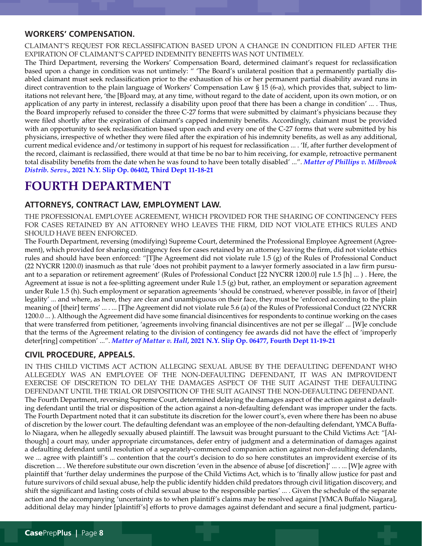#### **WORKERS' COMPENSATION.**

CLAIMANT'S REQUEST FOR RECLASSIFICATION BASED UPON A CHANGE IN CONDITION FILED AFTER THE EXPIRATION OF CLAIMANT'S CAPPED INDEMNITY BENEFITS WAS NOT UNTIMELY.

The Third Department, reversing the Workers' Compensation Board, determined claimant's request for reclassification based upon a change in condition was not untimely: " 'The Board's unilateral position that a permanently partially disabled claimant must seek reclassification prior to the exhaustion of his or her permanent partial disability award runs in direct contravention to the plain language of Workers' Compensation Law § 15 (6-a), which provides that, subject to limitations not relevant here, 'the [B]oard may, at any time, without regard to the date of accident, upon its own motion, or on application of any party in interest, reclassify a disability upon proof that there has been a change in condition' ... . Thus, the Board improperly refused to consider the three C-27 forms that were submitted by claimant's physicians because they were filed shortly after the expiration of claimant's capped indemnity benefits. Accordingly, claimant must be provided with an opportunity to seek reclassification based upon each and every one of the C-27 forms that were submitted by his physicians, irrespective of whether they were filed after the expiration of his indemnity benefits, as well as any additional, current medical evidence and/or testimony in support of his request for reclassification ... . 'If, after further development of the record, claimant is reclassified, there would at that time be no bar to him receiving, for example, retroactive permanent total disability benefits from the date when he was found to have been totally disabled' ...". *[Matter of Phillips v. Milbrook](https://nycourts.gov/reporter/3dseries/2021/2021_06402.htm) Distrib. Servs***[., 2021 N.Y. Slip Op. 06402, Third Dept 11-18-21](https://nycourts.gov/reporter/3dseries/2021/2021_06402.htm)**

# **FOURTH DEPARTMENT**

# **ATTORNEYS, CONTRACT LAW, EMPLOYMENT LAW.**

THE PROFESSIONAL EMPLOYEE AGREEMENT, WHICH PROVIDED FOR THE SHARING OF CONTINGENCY FEES FOR CASES RETAINED BY AN ATTORNEY WHO LEAVES THE FIRM, DID NOT VIOLATE ETHICS RULES AND SHOULD HAVE BEEN ENFORCED.

The Fourth Department, reversing (modifying) Supreme Court, determined the Professional Employee Agreement (Agreement), which provided for sharing contingency fees for cases retained by an attorney leaving the firm, did not violate ethics rules and should have been enforced: "[T]he Agreement did not violate rule 1.5 (g) of the Rules of Professional Conduct (22 NYCRR 1200.0) inasmuch as that rule 'does not prohibit payment to a lawyer formerly associated in a law firm pursuant to a separation or retirement agreement' (Rules of Professional Conduct [22 NYCRR 1200.0] rule 1.5 [h] ... ) . Here, the Agreement at issue is not a fee-splitting agreement under Rule 1.5 (g) but, rather, an employment or separation agreement under Rule 1.5 (h). Such employment or separation agreements 'should be construed, wherever possible, in favor of [their] legality' ... and where, as here, they are clear and unambiguous on their face, they must be 'enforced according to the plain meaning of [their] terms' ... . ... [T]he Agreement did not violate rule 5.6 (a) of the Rules of Professional Conduct (22 NYCRR 1200.0 ... ). Although the Agreement did have some financial disincentives for respondents to continue working on the cases that were transferred from petitioner, 'agreements involving financial disincentives are not per se illegal' ... [W]e conclude that the terms of the Agreement relating to the division of contingency fee awards did not have the effect of 'improperly deter[ring] competition' ...". *Matter of Mattar v. Hall***[, 2021 N.Y. Slip Op. 06477, Fourth Dept 11-19-21](https://nycourts.gov/reporter/3dseries/2021/2021_06477.htm)**

# **CIVIL PROCEDURE, APPEALS.**

IN THIS CHILD VICTIMS ACT ACTION ALLEGING SEXUAL ABUSE BY THE DEFAULTING DEFENDANT WHO ALLEGEDLY WAS AN EMPLOYEE OF THE NON-DEFAULTING DEFENDANT, IT WAS AN IMPROVIDENT EXERCISE OF DISCRETION TO DELAY THE DAMAGES ASPECT OF THE SUIT AGAINST THE DEFAULTING DEFENDANT UNTIL THE TRIAL OR DISPOSITION OF THE SUIT AGAINST THE NON-DEFAULTING DEFENDANT. The Fourth Department, reversing Supreme Court, determined delaying the damages aspect of the action against a defaulting defendant until the trial or disposition of the action against a non-defaulting defendant was improper under the facts. The Fourth Department noted that it can substitute its discretion for the lower court's, even where there has been no abuse of discretion by the lower court. The defaulting defendant was an employee of the non-defaulting defendant, YMCA Buffalo Niagara, when he allegedly sexually abused plaintiff. The lawsuit was brought pursuant to the Child Victims Act: "[Although] a court may, under appropriate circumstances, defer entry of judgment and a determination of damages against a defaulting defendant until resolution of a separately-commenced companion action against non-defaulting defendants, we ... agree with plaintiff's ... contention that the court's decision to do so here constitutes an improvident exercise of its discretion ... . We therefore substitute our own discretion 'even in the absence of abuse [of discretion]' ... . ... [W]e agree with plaintiff that 'further delay undermines the purpose of the Child Victims Act, which is to 'finally allow justice for past and future survivors of child sexual abuse, help the public identify hidden child predators through civil litigation discovery, and shift the significant and lasting costs of child sexual abuse to the responsible parties' ... . Given the schedule of the separate action and the accompanying 'uncertainty as to when plaintiff's claims may be resolved against [YMCA Buffalo Niagara], additional delay may hinder [plaintiff's] efforts to prove damages against defendant and secure a final judgment, particu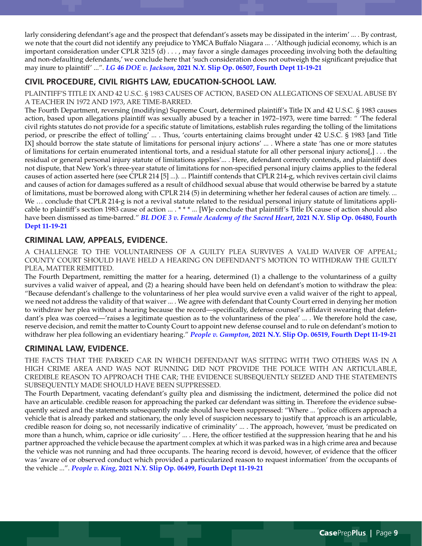larly considering defendant's age and the prospect that defendant's assets may be dissipated in the interim' ... . By contrast, we note that the court did not identify any prejudice to YMCA Buffalo Niagara ... . 'Although judicial economy, which is an important consideration under CPLR 3215 (d) . . . , may favor a single damages proceeding involving both the defaulting and non-defaulting defendants,' we conclude here that 'such consideration does not outweigh the significant prejudice that may inure to plaintiff' ...". *LG 46 DOE v. Jackson***[, 2021 N.Y. Slip Op. 06507, Fourth Dept 11-19-21](https://nycourts.gov/reporter/3dseries/2021/2021_06507.htm)**

# **CIVIL PROCEDURE, CIVIL RIGHTS LAW, EDUCATION-SCHOOL LAW.**

PLAINTIFF'S TITLE IX AND 42 U.S.C. § 1983 CAUSES OF ACTION, BASED ON ALLEGATIONS OF SEXUAL ABUSE BY A TEACHER IN 1972 AND 1973, ARE TIME-BARRED.

The Fourth Department, reversing (modifying) Supreme Court, determined plaintiff's Title IX and 42 U.S.C. § 1983 causes action, based upon allegations plaintiff was sexually abused by a teacher in 1972–1973, were time barred: " 'The federal civil rights statutes do not provide for a specific statute of limitations, establish rules regarding the tolling of the limitations period, or prescribe the effect of tolling' ... . Thus, 'courts entertaining claims brought under 42 U.S.C. § 1983 [and Title IX] should borrow the state statute of limitations for personal injury actions' ... . Where a state 'has one or more statutes of limitations for certain enumerated intentional torts, and a residual statute for all other personal injury actions[,] . . . the residual or general personal injury statute of limitations applies'... . Here, defendant correctly contends, and plaintiff does not dispute, that New York's three-year statute of limitations for non-specified personal injury claims applies to the federal causes of action asserted here (see CPLR 214 [5] ...). ... Plaintiff contends that CPLR 214-g, which revives certain civil claims and causes of action for damages suffered as a result of childhood sexual abuse that would otherwise be barred by a statute of limitations, must be borrowed along with CPLR 214 (5) in determining whether her federal causes of action are timely. ... We … conclude that CPLR 214-g is not a revival statute related to the residual personal injury statute of limitations applicable to plaintiff's section 1983 cause of action ... . \* \* \* ... [W]e conclude that plaintiff's Title IX cause of action should also have been dismissed as time-barred." *[BL DOE 3 v. Female Academy of the Sacred Heart](https://nycourts.gov/reporter/3dseries/2021/2021_06480.htm)***, 2021 N.Y. Slip Op. 06480, Fourth [Dept 11-19-21](https://nycourts.gov/reporter/3dseries/2021/2021_06480.htm)**

# **CRIMINAL LAW, APPEALS, EVIDENCE.**

A CHALLENGE TO THE VOLUNTARINESS OF A GUILTY PLEA SURVIVES A VALID WAIVER OF APPEAL; COUNTY COURT SHOULD HAVE HELD A HEARING ON DEFENDANT'S MOTION TO WITHDRAW THE GUILTY PLEA, MATTER REMITTED.

The Fourth Department, remitting the matter for a hearing, determined (1) a challenge to the voluntariness of a guilty survives a valid waiver of appeal, and (2) a hearing should have been held on defendant's motion to withdraw the plea: "Because defendant's challenge to the voluntariness of her plea would survive even a valid waiver of the right to appeal, we need not address the validity of that waiver ... . We agree with defendant that County Court erred in denying her motion to withdraw her plea without a hearing because the record—specifically, defense counsel's affidavit swearing that defendant's plea was coerced—'raises a legitimate question as to the voluntariness of the plea' ... . We therefore hold the case, reserve decision, and remit the matter to County Court to appoint new defense counsel and to rule on defendant's motion to withdraw her plea following an evidentiary hearing." *People v. Gumpton***[, 2021 N.Y. Slip Op. 06519, Fourth Dept 11-19-21](https://nycourts.gov/reporter/3dseries/2021/2021_06519.htm)**

# **CRIMINAL LAW, EVIDENCE.**

THE FACTS THAT THE PARKED CAR IN WHICH DEFENDANT WAS SITTING WITH TWO OTHERS WAS IN A HIGH CRIME AREA AND WAS NOT RUNNING DID NOT PROVIDE THE POLICE WITH AN ARTICULABLE, CREDIBLE REASON TO APPROACH THE CAR; THE EVIDENCE SUBSEQUENTLY SEIZED AND THE STATEMENTS SUBSEQUENTLY MADE SHOULD HAVE BEEN SUPPRESSED.

The Fourth Department, vacating defendant's guilty plea and dismissing the indictment, determined the police did not have an articulable. credible reason for approaching the parked car defendant was sitting in. Therefore the evidence subsequently seized and the statements subsequently made should have been suppressed: "Where ... 'police officers approach a vehicle that is already parked and stationary, the only level of suspicion necessary to justify that approach is an articulable, credible reason for doing so, not necessarily indicative of criminality' ... . The approach, however, 'must be predicated on more than a hunch, whim, caprice or idle curiosity' ... . Here, the officer testified at the suppression hearing that he and his partner approached the vehicle because the apartment complex at which it was parked was in a high crime area and because the vehicle was not running and had three occupants. The hearing record is devoid, however, of evidence that the officer was 'aware of or observed conduct which provided a particularized reason to request information' from the occupants of the vehicle ...". *People v. King***[, 2021 N.Y. Slip Op. 06499, Fourth Dept 11-19-21](https://nycourts.gov/reporter/3dseries/2021/2021_06499.htm)**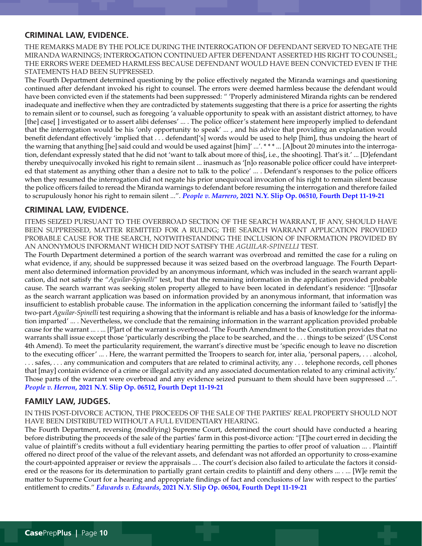### **CRIMINAL LAW, EVIDENCE.**

THE REMARKS MADE BY THE POLICE DURING THE INTERROGATION OF DEFENDANT SERVED TO NEGATE THE MIRANDA WARNINGS; INTERROGATION CONTINUED AFTER DEFENDANT ASSERTED HIS RIGHT TO COUNSEL; THE ERRORS WERE DEEMED HARMLESS BECAUSE DEFENDANT WOULD HAVE BEEN CONVICTED EVEN IF THE STATEMENTS HAD BEEN SUPPRESSED.

The Fourth Department determined questioning by the police effectively negated the Miranda warnings and questioning continued after defendant invoked his right to counsel. The errors were deemed harmless because the defendant would have been convicted even if the statements had been suppressed: " 'Properly administered Miranda rights can be rendered inadequate and ineffective when they are contradicted by statements suggesting that there is a price for asserting the rights to remain silent or to counsel, such as foregoing 'a valuable opportunity to speak with an assistant district attorney, to have [the] case[] investigated or to assert alibi defenses' ... . The police officer's statement here improperly implied to defendant that the interrogation would be his 'only opportunity to speak' ... , and his advice that providing an explanation would benefit defendant effectively 'implied that . . . defendant['s] words would be used to help [him], thus undoing the heart of the warning that anything [he] said could and would be used against [him]' ...'. \*\*\* ... [A]bout 20 minutes into the interrogation, defendant expressly stated that he did not 'want to talk about more of this[, i.e., the shooting]. That's it.' ... [D]efendant thereby unequivocally invoked his right to remain silent ... inasmuch as '[n]o reasonable police officer could have interpreted that statement as anything other than a desire not to talk to the police' ... . Defendant's responses to the police officers when they resumed the interrogation did not negate his prior unequivocal invocation of his right to remain silent because the police officers failed to reread the Miranda warnings to defendant before resuming the interrogation and therefore failed to scrupulously honor his right to remain silent ...". *People v. Marrero***[, 2021 N.Y. Slip Op. 06510, Fourth Dept 11-19-21](https://nycourts.gov/reporter/3dseries/2021/2021_06510.htm)**

#### **CRIMINAL LAW, EVIDENCE.**

ITEMS SEIZED PURSUANT TO THE OVERBROAD SECTION OF THE SEARCH WARRANT, IF ANY, SHOULD HAVE BEEN SUPPRESSED, MATTER REMITTED FOR A RULING; THE SEARCH WARRANT APPLICATION PROVIDED PROBABLE CAUSE FOR THE SEARCH, NOTWITHSTANDING THE INCLUSION OF INFORMATION PROVIDED BY AN ANONYMOUS INFORMANT WHICH DID NOT SATISFY THE *AGUILAR*-*SPINELLI* TEST.

The Fourth Department determined a portion of the search warrant was overbroad and remitted the case for a ruling on what evidence, if any, should be suppressed because it was seized based on the overbroad language. The Fourth Department also determined information provided by an anonymous informant, which was included in the search warrant application, did not satisfy the "*Aguilar*-*Spinelli*" test, but that the remaining information in the application provided probable cause. The search warrant was seeking stolen property alleged to have been located in defendant's residence: "[I]nsofar as the search warrant application was based on information provided by an anonymous informant, that information was insufficient to establish probable cause. The information in the application concerning the informant failed to 'satisf[y] the two-part *Aguilar-Spinelli* test requiring a showing that the informant is reliable and has a basis of knowledge for the information imparted' ... . Nevertheless, we conclude that the remaining information in the warrant application provided probable cause for the warrant ... . ... [P]art of the warrant is overbroad. 'The Fourth Amendment to the Constitution provides that no warrants shall issue except those 'particularly describing the place to be searched, and the . . . things to be seized' (US Const 4th Amend). To meet the particularity requirement, the warrant's directive must be 'specific enough to leave no discretion to the executing officer' ... . Here, the warrant permitted the Troopers to search for, inter alia, 'personal papers, . . . alcohol, . . . safes, . . . any communication and computers that are related to criminal activity, any . . . telephone records, cell phones that [may] contain evidence of a crime or illegal activity and any associated documentation related to any criminal activity.' Those parts of the warrant were overbroad and any evidence seized pursuant to them should have been suppressed ...". *People v. Herron***[, 2021 N.Y. Slip Op. 06512, Fourth Dept 11-19-21](https://nycourts.gov/reporter/3dseries/2021/2021_06512.htm)**

## **FAMILY LAW, JUDGES.**

IN THIS POST-DIVORCE ACTION, THE PROCEEDS OF THE SALE OF THE PARTIES' REAL PROPERTY SHOULD NOT HAVE BEEN DISTRIBUTED WITHOUT A FULL EVIDENTIARY HEARING.

The Fourth Department, reversing (modifying) Supreme Court, determined the court should have conducted a hearing before distributing the proceeds of the sale of the parties' farm in this post-divorce action: "[T]he court erred in deciding the value of plaintiff's credits without a full evidentiary hearing permitting the parties to offer proof of valuation ... . Plaintiff offered no direct proof of the value of the relevant assets, and defendant was not afforded an opportunity to cross-examine the court-appointed appraiser or review the appraisals ... . The court's decision also failed to articulate the factors it considered or the reasons for its determination to partially grant certain credits to plaintiff and deny others ... . ... [W]e remit the matter to Supreme Court for a hearing and appropriate findings of fact and conclusions of law with respect to the parties' entitlement to credits." *Edwards v. Edwards***[, 2021 N.Y. Slip Op. 06504, Fourth Dept 11-19-21](https://nycourts.gov/reporter/3dseries/2021/2021_06504.htm)**